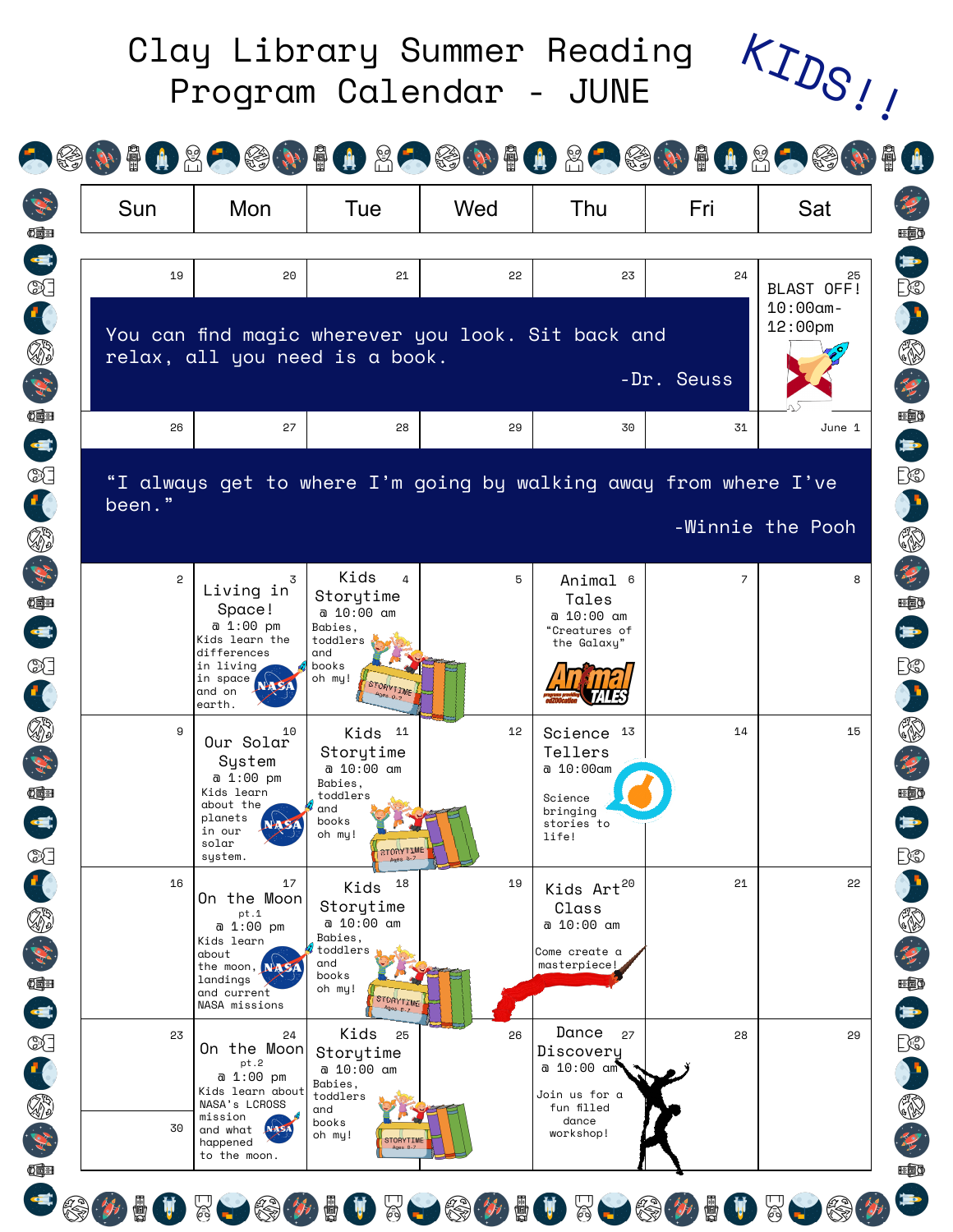|              |                                                                     |                                                                    |     |                                                          |                | KIDS.                                         |
|--------------|---------------------------------------------------------------------|--------------------------------------------------------------------|-----|----------------------------------------------------------|----------------|-----------------------------------------------|
|              |                                                                     |                                                                    |     | <b>AGOTILAGOTILAGOTILAGOTILAGO</b>                       |                |                                               |
| Sun          | Mon                                                                 | Tue                                                                | Wed | Thu                                                      | Fri            | Sat                                           |
| 19           | 20                                                                  | 21                                                                 | 55  | 23<br>You can find magic wherever you look. Sit back and | 24             | 25<br>BLAST OFF!<br>$10:00$ am-<br>$12:00$ pm |
|              |                                                                     | relax, all you need is a book.                                     |     |                                                          | -Dr. Seuss     |                                               |
| 26           | 27                                                                  | 28                                                                 | 29  | 30                                                       | 31             | June 1                                        |
|              | Space!<br>a 1:00 pm<br>Kids learn the<br>differences                | a 10:00 am<br>Babies,<br>toddlers<br>and                           |     | a 10:00 am<br>"Creatures of<br>the Galaxy"               |                |                                               |
| $\mathbf{2}$ | Living in                                                           | Kids<br>4<br>Storytime                                             | 5   | Animal 6<br>Tales                                        | $\overline{z}$ | 8                                             |
|              | in living<br>in space<br>and on                                     | books<br>oh my!<br>STORYTIME                                       |     |                                                          |                |                                               |
|              | earth.                                                              |                                                                    |     |                                                          |                |                                               |
| 9            | 10<br>Our Solar<br>System<br>a 1:00 pm<br>Kids learn                | Kids 11<br>Storytime<br>a 10:00 am<br>Babies,                      | 12  | Science 13<br>Tellers<br>a 10:00am                       | 14             | 15                                            |
|              | about the<br>planets<br>in our<br>solar<br>system.                  | toddlers<br>and<br>books<br>oh my!<br><b>STORYTIME</b><br>Ages 8-7 |     | Science<br>bringing<br>stories to<br>life!               |                |                                               |
| 16           | 17<br>On the Moon<br>pt.1<br>a 1:00 pm<br>Kids learn                | 18<br>Kids<br>Storytime<br>a 10:00 am<br>Babies,                   | 19  | Kids Art <sup>20</sup><br>Class<br>a 10:00 am            | 21             | 22                                            |
|              | about<br>the moon, NASA<br>landings<br>and current<br>NASA missions | toddlers<br>and<br>books<br>oh my!<br>STORYTIME<br>$Ages$ $0.7$    |     | Come create a<br>masterpiece!                            |                |                                               |
| 23           | 24<br>On the Moon<br>pt.2<br>a 1:00 pm<br>Kids learn about          | Kids<br>25<br>Storytime<br>a 10:00 am<br>Babies,                   | 26  | Dance<br>27<br>Discovery<br>a 10:00 am<br>Join us for a  | 28             | 29                                            |

SOUTLED & DELLED TO A COPE A CODE